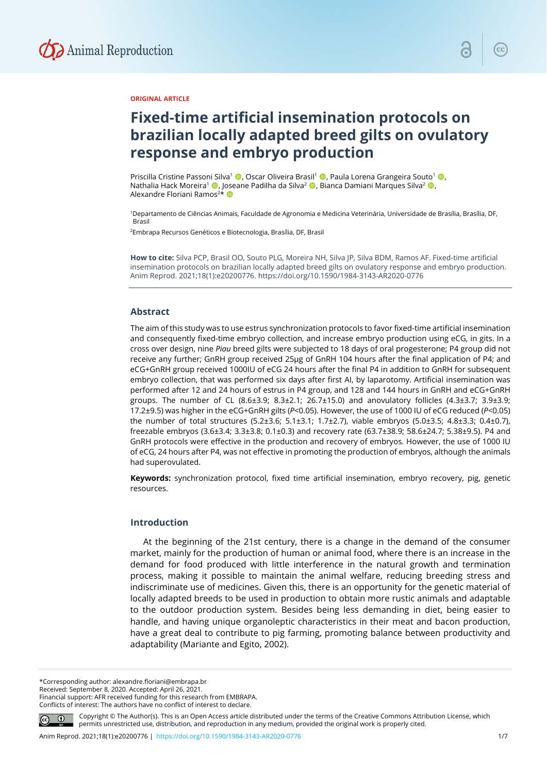

## **ORIGINAL ARTICLE**

# **Fixed-time artificial insemination protocols on brazilian locally adapted breed gilts on ovulatory response and embryo production**

Priscilla Cristine Passoni Silva<sup>1</sup> (, Oscar Oliveira Brasil<sup>1</sup> , Paula Lorena Grangeira Souto<sup>1</sup> (, , Nathalia Hack Moreira<sup>1</sup> , Joseane Padilha da Silva<sup>2</sup> , Bianca Damiani Marques Silva<sup>2</sup> , Alexandre Floriani Ramos<sup>2\*</sup>

1Departamento de Ciências Animais, Faculdade de Agronomia e Medicina Veterinária, Universidade de Brasília, Brasília, DF, Brasil

2Embrapa Recursos Genéticos e Biotecnologia, Brasília, DF, Brasil

**How to cite:** Silva PCP, Brasil OO, Souto PLG, Moreira NH, Silva JP, Silva BDM, Ramos AF. Fixed-time artificial insemination protocols on brazilian locally adapted breed gilts on ovulatory response and embryo production. Anim Reprod. 2021;18(1):e20200776. https://doi.org/10.1590/1984-3143-AR2020-0776

#### **Abstract**

The aim of this study was to use estrus synchronization protocols to favor fixed-time artificial insemination and consequently fixed-time embryo collection, and increase embryo production using eCG, in gits. In a cross over design, nine *Piau* breed gilts were subjected to 18 days of oral progesterone; P4 group did not receive any further; GnRH group received 25µg of GnRH 104 hours after the final application of P4; and eCG+GnRH group received 1000IU of eCG 24 hours after the final P4 in addition to GnRH for subsequent embryo collection, that was performed six days after first AI, by laparotomy. Artificial insemination was performed after 12 and 24 hours of estrus in P4 group, and 128 and 144 hours in GnRH and eCG+GnRH groups. The number of CL  $(8.6\pm3.9; 8.3\pm2.1; 26.7\pm15.0)$  and anovulatory follicles  $(4.3\pm3.7; 3.9\pm3.9; 4.0\pm3.0)$ 17.2±9.5) was higher in the eCG+GnRH gilts (*P*<0.05). However, the use of 1000 IU of eCG reduced (*P*<0.05) the number of total structures (5.2±3.6; 5.1±3.1; 1.7±2.7), viable embryos (5.0±3.5; 4.8±3.3; 0.4±0.7), freezable embryos (3.6±3.4; 3.3±3.8; 0.1±0.3) and recovery rate (63.7±38.9; 58.6±24.7; 5.38±9.5). P4 and GnRH protocols were effective in the production and recovery of embryos. However, the use of 1000 IU of eCG, 24 hours after P4, was not effective in promoting the production of embryos, although the animals had superovulated.

**Keywords:** synchronization protocol, fixed time artificial insemination, embryo recovery, pig, genetic resources.

## **Introduction**

At the beginning of the 21st century, there is a change in the demand of the consumer market, mainly for the production of human or animal food, where there is an increase in the demand for food produced with little interference in the natural growth and termination process, making it possible to maintain the animal welfare, reducing breeding stress and indiscriminate use of medicines. Given this, there is an opportunity for the genetic material of locally adapted breeds to be used in production to obtain more rustic animals and adaptable to the outdoor production system. Besides being less demanding in diet, being easier to handle, and having unique organoleptic characteristics in their meat and bacon production, have a great deal to contribute to pig farming, promoting balance between productivity and adaptability (Mariante and Egito, 2002).

\*Corresponding author: alexandre.floriani@embrapa.br

Received: September 8, 2020. Accepted: April 26, 2021.

Financial support: AFR received funding for this research from EMBRAPA. Conflicts of interest: The authors have no conflict of interest to declare.



Copyright © The Author(s). This is an Open Access article distributed under the terms of the Creative Commons Attribution License, which permits unrestricted use, distribution, and reproduction in any medium, provided the original work is properly cited.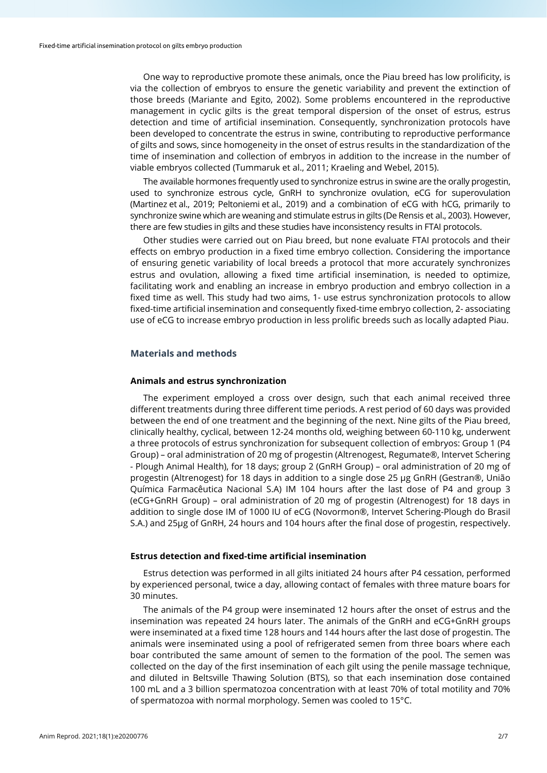One way to reproductive promote these animals, once the Piau breed has low prolificity, is via the collection of embryos to ensure the genetic variability and prevent the extinction of those breeds (Mariante and Egito, 2002). Some problems encountered in the reproductive management in cyclic gilts is the great temporal dispersion of the onset of estrus, estrus detection and time of artificial insemination. Consequently, synchronization protocols have been developed to concentrate the estrus in swine, contributing to reproductive performance of gilts and sows, since homogeneity in the onset of estrus results in the standardization of the time of insemination and collection of embryos in addition to the increase in the number of viable embryos collected (Tummaruk et al., 2011; Kraeling and Webel, 2015).

The available hormones frequently used to synchronize estrus in swine are the orally progestin, used to synchronize estrous cycle, GnRH to synchronize ovulation, eCG for superovulation (Martinez et al., 2019; Peltoniemi et al., 2019) and a combination of eCG with hCG, primarily to synchronize swine which are weaning and stimulate estrus in gilts (De Rensis et al., 2003). However, there are few studies in gilts and these studies have inconsistency results in FTAI protocols.

Other studies were carried out on Piau breed, but none evaluate FTAI protocols and their effects on embryo production in a fixed time embryo collection. Considering the importance of ensuring genetic variability of local breeds a protocol that more accurately synchronizes estrus and ovulation, allowing a fixed time artificial insemination, is needed to optimize, facilitating work and enabling an increase in embryo production and embryo collection in a fixed time as well. This study had two aims, 1- use estrus synchronization protocols to allow fixed-time artificial insemination and consequently fixed-time embryo collection, 2- associating use of eCG to increase embryo production in less prolific breeds such as locally adapted Piau.

## **Materials and methods**

#### **Animals and estrus synchronization**

The experiment employed a cross over design, such that each animal received three different treatments during three different time periods. A rest period of 60 days was provided between the end of one treatment and the beginning of the next. Nine gilts of the Piau breed, clinically healthy, cyclical, between 12-24 months old, weighing between 60-110 kg, underwent a three protocols of estrus synchronization for subsequent collection of embryos: Group 1 (P4 Group) – oral administration of 20 mg of progestin (Altrenogest, Regumate®, Intervet Schering - Plough Animal Health), for 18 days; group 2 (GnRH Group) – oral administration of 20 mg of progestin (Altrenogest) for 18 days in addition to a single dose 25 µg GnRH (Gestran®, União Química Farmacêutica Nacional S.A) IM 104 hours after the last dose of P4 and group 3 (eCG+GnRH Group) – oral administration of 20 mg of progestin (Altrenogest) for 18 days in addition to single dose IM of 1000 IU of eCG (Novormon®, Intervet Schering-Plough do Brasil S.A.) and 25µg of GnRH, 24 hours and 104 hours after the final dose of progestin, respectively.

#### **Estrus detection and fixed-time artificial insemination**

Estrus detection was performed in all gilts initiated 24 hours after P4 cessation, performed by experienced personal, twice a day, allowing contact of females with three mature boars for 30 minutes.

The animals of the P4 group were inseminated 12 hours after the onset of estrus and the insemination was repeated 24 hours later. The animals of the GnRH and eCG+GnRH groups were inseminated at a fixed time 128 hours and 144 hours after the last dose of progestin. The animals were inseminated using a pool of refrigerated semen from three boars where each boar contributed the same amount of semen to the formation of the pool. The semen was collected on the day of the first insemination of each gilt using the penile massage technique, and diluted in Beltsville Thawing Solution (BTS), so that each insemination dose contained 100 mL and a 3 billion spermatozoa concentration with at least 70% of total motility and 70% of spermatozoa with normal morphology. Semen was cooled to 15°C.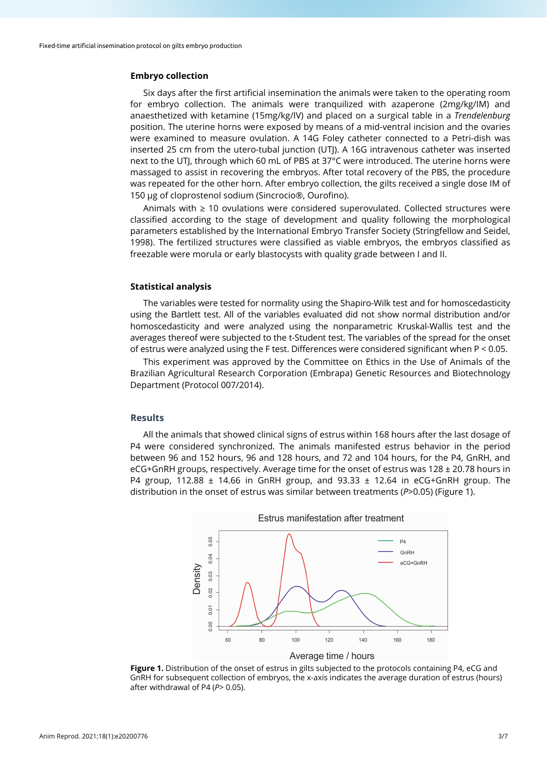## **Embryo collection**

Six days after the first artificial insemination the animals were taken to the operating room for embryo collection. The animals were tranquilized with azaperone (2mg/kg/IM) and anaesthetized with ketamine (15mg/kg/IV) and placed on a surgical table in a *Trendelenburg* position. The uterine horns were exposed by means of a mid-ventral incision and the ovaries were examined to measure ovulation. A 14G Foley catheter connected to a Petri-dish was inserted 25 cm from the utero-tubal junction (UTJ). A 16G intravenous catheter was inserted next to the UTJ, through which 60 mL of PBS at 37°C were introduced. The uterine horns were massaged to assist in recovering the embryos. After total recovery of the PBS, the procedure was repeated for the other horn. After embryo collection, the gilts received a single dose IM of 150 µg of cloprostenol sodium (Sincrocio®, Ourofino).

Animals with ≥ 10 ovulations were considered superovulated. Collected structures were classified according to the stage of development and quality following the morphological parameters established by the International Embryo Transfer Society (Stringfellow and Seidel, 1998). The fertilized structures were classified as viable embryos, the embryos classified as freezable were morula or early blastocysts with quality grade between I and II.

## **Statistical analysis**

The variables were tested for normality using the Shapiro-Wilk test and for homoscedasticity using the Bartlett test. All of the variables evaluated did not show normal distribution and/or homoscedasticity and were analyzed using the nonparametric Kruskal-Wallis test and the averages thereof were subjected to the t-Student test. The variables of the spread for the onset of estrus were analyzed using the F test. Differences were considered significant when P < 0.05.

This experiment was approved by the Committee on Ethics in the Use of Animals of the Brazilian Agricultural Research Corporation (Embrapa) Genetic Resources and Biotechnology Department (Protocol 007/2014).

# **Results**

All the animals that showed clinical signs of estrus within 168 hours after the last dosage of P4 were considered synchronized. The animals manifested estrus behavior in the period between 96 and 152 hours, 96 and 128 hours, and 72 and 104 hours, for the P4, GnRH, and eCG+GnRH groups, respectively. Average time for the onset of estrus was 128 ± 20.78 hours in P4 group, 112.88 ± 14.66 in GnRH group, and 93.33 ± 12.64 in eCG+GnRH group. The distribution in the onset of estrus was similar between treatments (*P*>0.05) (Figure 1).



**Figure 1.** Distribution of the onset of estrus in gilts subjected to the protocols containing P4, eCG and GnRH for subsequent collection of embryos, the x-axis indicates the average duration of estrus (hours) after withdrawal of P4 (*P*> 0.05).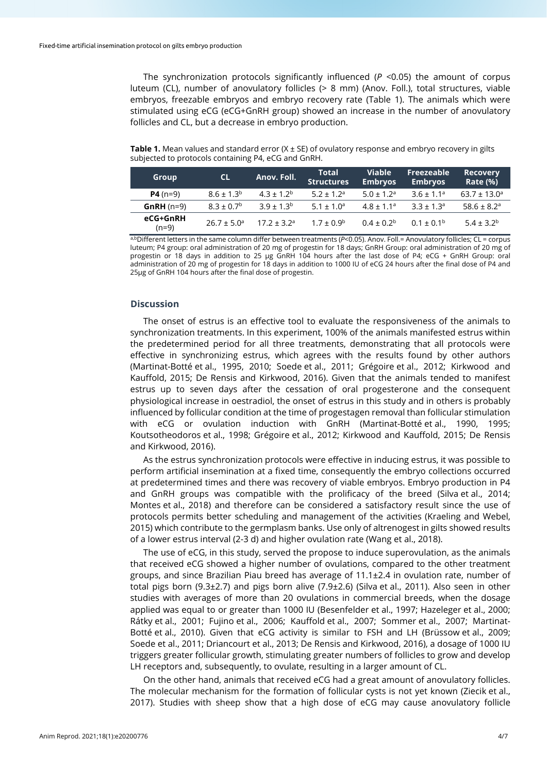The synchronization protocols significantly influenced (*P* <0.05) the amount of corpus luteum (CL), number of anovulatory follicles (> 8 mm) (Anov. Foll.), total structures, viable embryos, freezable embryos and embryo recovery rate (Table 1). The animals which were stimulated using eCG (eCG+GnRH group) showed an increase in the number of anovulatory follicles and CL, but a decrease in embryo production.

**Table 1.** Mean values and standard error (X ± SE) of ovulatory response and embryo recovery in gilts subjected to protocols containing P4, eCG and GnRH.

| Group               | <b>CL</b>              | Anov. Foll.      | <b>Total</b><br><b>Structures</b> | <b>Viable</b><br><b>Embryos</b> | Freezeable<br><b>Embryos</b> | <b>Recovery</b><br><b>Rate (%)</b> |
|---------------------|------------------------|------------------|-----------------------------------|---------------------------------|------------------------------|------------------------------------|
| $P4(n=9)$           | $8.6 \pm 1.3^b$        | $4.3 \pm 1.2^b$  | $5.2 \pm 1.2$ <sup>a</sup>        | $5.0 \pm 1.2$ <sup>a</sup>      | $3.6 \pm 1.1^a$              | $63.7 \pm 13.0^a$                  |
| $GnRH(n=9)$         | $8.3 \pm 0.7^b$        | $3.9 + 1.3b$     | $5.1 \pm 1.0^a$                   | $4.8 \pm 1.1^a$                 | $3.3 + 1.3a$                 | 58.6 ± 8.2 <sup>a</sup>            |
| eCG+GnRH<br>$(n=9)$ | $26.7 \pm 5.0^{\circ}$ | $17.2 \pm 3.2^a$ | $1.7 \pm 0.9^{\rm b}$             | $0.4 \pm 0.2^b$                 | $0.1 \pm 0.1^{\rm b}$        | $5.4 \pm 3.2^b$                    |

a,b<sub>Different letters in the same column differ between treatments (*P*<0.05). Anov. Foll.= Anovulatory follicles; CL = corpus</sub> luteum; P4 group: oral administration of 20 mg of progestin for 18 days; GnRH Group: oral administration of 20 mg of progestin or 18 days in addition to 25 µg GnRH 104 hours after the last dose of P4; eCG + GnRH Group: oral administration of 20 mg of progestin for 18 days in addition to 1000 IU of eCG 24 hours after the final dose of P4 and 25µg of GnRH 104 hours after the final dose of progestin.

## **Discussion**

The onset of estrus is an effective tool to evaluate the responsiveness of the animals to synchronization treatments. In this experiment, 100% of the animals manifested estrus within the predetermined period for all three treatments, demonstrating that all protocols were effective in synchronizing estrus, which agrees with the results found by other authors (Martinat-Botté et al., 1995, 2010; Soede et al., 2011; Grégoire et al., 2012; Kirkwood and Kauffold, 2015; De Rensis and Kirkwood, 2016). Given that the animals tended to manifest estrus up to seven days after the cessation of oral progesterone and the consequent physiological increase in oestradiol, the onset of estrus in this study and in others is probably influenced by follicular condition at the time of progestagen removal than follicular stimulation with eCG or ovulation induction with GnRH (Martinat-Botté et al., 1990, 1995; Koutsotheodoros et al., 1998; Grégoire et al., 2012; Kirkwood and Kauffold, 2015; De Rensis and Kirkwood, 2016).

As the estrus synchronization protocols were effective in inducing estrus, it was possible to perform artificial insemination at a fixed time, consequently the embryo collections occurred at predetermined times and there was recovery of viable embryos. Embryo production in P4 and GnRH groups was compatible with the prolificacy of the breed (Silva et al., 2014; Montes et al., 2018) and therefore can be considered a satisfactory result since the use of protocols permits better scheduling and management of the activities (Kraeling and Webel, 2015) which contribute to the germplasm banks. Use only of altrenogest in gilts showed results of a lower estrus interval (2-3 d) and higher ovulation rate (Wang et al., 2018).

The use of eCG, in this study, served the propose to induce superovulation, as the animals that received eCG showed a higher number of ovulations, compared to the other treatment groups, and since Brazilian Piau breed has average of 11.1±2.4 in ovulation rate, number of total pigs born (9.3±2.7) and pigs born alive (7.9±2.6) (Silva et al., 2011). Also seen in other studies with averages of more than 20 ovulations in commercial breeds, when the dosage applied was equal to or greater than 1000 IU (Besenfelder et al., 1997; Hazeleger et al., 2000; Rátky et al., 2001; Fujino et al., 2006; Kauffold et al., 2007; Sommer et al., 2007; Martinat-Botté et al., 2010). Given that eCG activity is similar to FSH and LH (Brüssow et al., 2009; Soede et al., 2011; Driancourt et al., 2013; De Rensis and Kirkwood, 2016), a dosage of 1000 IU triggers greater follicular growth, stimulating greater numbers of follicles to grow and develop LH receptors and, subsequently, to ovulate, resulting in a larger amount of CL.

On the other hand, animals that received eCG had a great amount of anovulatory follicles. The molecular mechanism for the formation of follicular cysts is not yet known (Ziecik et al., 2017). Studies with sheep show that a high dose of eCG may cause anovulatory follicle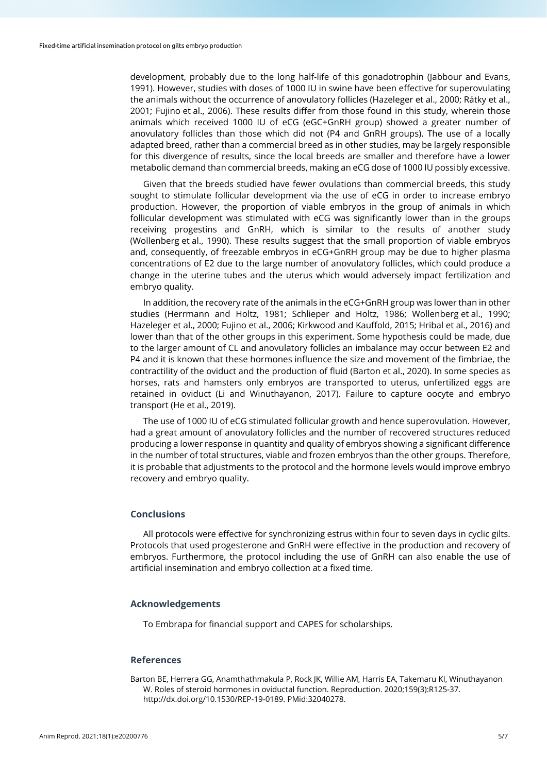development, probably due to the long half-life of this gonadotrophin (Jabbour and Evans, 1991). However, studies with doses of 1000 IU in swine have been effective for superovulating the animals without the occurrence of anovulatory follicles (Hazeleger et al., 2000; Rátky et al., 2001; Fujino et al., 2006). These results differ from those found in this study, wherein those animals which received 1000 IU of eCG (eGC+GnRH group) showed a greater number of anovulatory follicles than those which did not (P4 and GnRH groups). The use of a locally adapted breed, rather than a commercial breed as in other studies, may be largely responsible for this divergence of results, since the local breeds are smaller and therefore have a lower metabolic demand than commercial breeds, making an eCG dose of 1000 IU possibly excessive.

Given that the breeds studied have fewer ovulations than commercial breeds, this study sought to stimulate follicular development via the use of eCG in order to increase embryo production. However, the proportion of viable embryos in the group of animals in which follicular development was stimulated with eCG was significantly lower than in the groups receiving progestins and GnRH, which is similar to the results of another study (Wollenberg et al., 1990). These results suggest that the small proportion of viable embryos and, consequently, of freezable embryos in eCG+GnRH group may be due to higher plasma concentrations of E2 due to the large number of anovulatory follicles, which could produce a change in the uterine tubes and the uterus which would adversely impact fertilization and embryo quality.

In addition, the recovery rate of the animals in the eCG+GnRH group was lower than in other studies (Herrmann and Holtz, 1981; Schlieper and Holtz, 1986; Wollenberg et al., 1990; Hazeleger et al., 2000; Fujino et al., 2006; Kirkwood and Kauffold, 2015; Hribal et al., 2016) and lower than that of the other groups in this experiment. Some hypothesis could be made, due to the larger amount of CL and anovulatory follicles an imbalance may occur between E2 and P4 and it is known that these hormones influence the size and movement of the fimbriae, the contractility of the oviduct and the production of fluid (Barton et al., 2020). In some species as horses, rats and hamsters only embryos are transported to uterus, unfertilized eggs are retained in oviduct (Li and Winuthayanon, 2017). Failure to capture oocyte and embryo transport (He et al., 2019).

The use of 1000 IU of eCG stimulated follicular growth and hence superovulation. However, had a great amount of anovulatory follicles and the number of recovered structures reduced producing a lower response in quantity and quality of embryos showing a significant difference in the number of total structures, viable and frozen embryos than the other groups. Therefore, it is probable that adjustments to the protocol and the hormone levels would improve embryo recovery and embryo quality.

## **Conclusions**

All protocols were effective for synchronizing estrus within four to seven days in cyclic gilts. Protocols that used progesterone and GnRH were effective in the production and recovery of embryos. Furthermore, the protocol including the use of GnRH can also enable the use of artificial insemination and embryo collection at a fixed time.

## **Acknowledgements**

To Embrapa for financial support and CAPES for scholarships.

## **References**

Barton BE, Herrera GG, Anamthathmakula P, Rock JK, Willie AM, Harris EA, Takemaru KI, Winuthayanon W. Roles of steroid hormones in oviductal function. Reproduction. 2020;159(3):R125-37. [http://dx.doi.org/10.1530/REP-19-0189.](https://doi.org/10.1530/REP-19-0189) [PMid:32040278.](https://www.ncbi.nlm.nih.gov/entrez/query.fcgi?cmd=Retrieve&db=PubMed&list_uids=32040278&dopt=Abstract)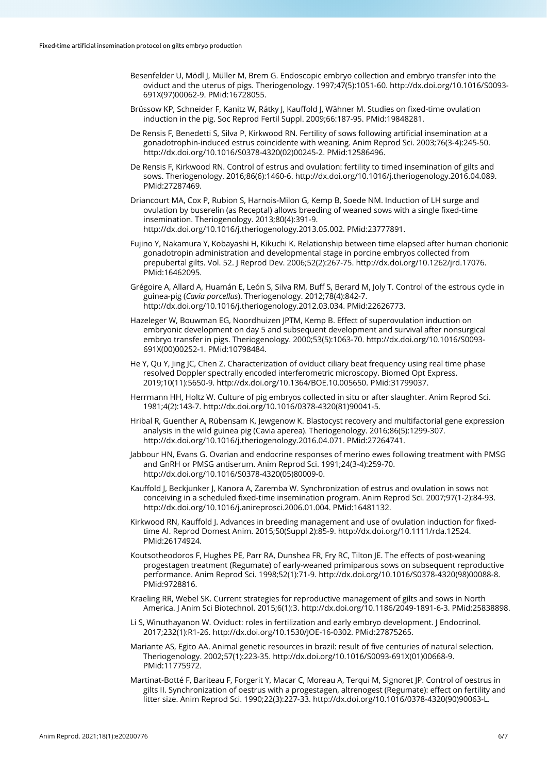- Besenfelder U, Mödl J, Müller M, Brem G. Endoscopic embryo collection and embryo transfer into the oviduct and the uterus of pigs. Theriogenology. 1997;47(5):1051-60[. http://dx.doi.org/10.1016/S0093-](https://doi.org/10.1016/S0093-691X(97)00062-9) [691X\(97\)00062-9.](https://doi.org/10.1016/S0093-691X(97)00062-9) [PMid:16728055.](https://www.ncbi.nlm.nih.gov/entrez/query.fcgi?cmd=Retrieve&db=PubMed&list_uids=16728055&dopt=Abstract)
- Brüssow KP, Schneider F, Kanitz W, Rátky J, Kauffold J, Wähner M. Studies on fixed-time ovulation induction in the pig. Soc Reprod Fertil Suppl. 2009;66:187-95. [PMid:19848281.](https://www.ncbi.nlm.nih.gov/entrez/query.fcgi?cmd=Retrieve&db=PubMed&list_uids=19848281&dopt=Abstract)
- De Rensis F, Benedetti S, Silva P, Kirkwood RN. Fertility of sows following artificial insemination at a gonadotrophin-induced estrus coincidente with weaning. Anim Reprod Sci. 2003;76(3-4):245-50. [http://dx.doi.org/10.1016/S0378-4320\(02\)00245-2.](https://doi.org/10.1016/S0378-4320(02)00245-2) [PMid:12586496.](https://www.ncbi.nlm.nih.gov/entrez/query.fcgi?cmd=Retrieve&db=PubMed&list_uids=12586496&dopt=Abstract)
- De Rensis F, Kirkwood RN. Control of estrus and ovulation: fertility to timed insemination of gilts and sows. Theriogenology. 2016;86(6):1460-6[. http://dx.doi.org/10.1016/j.theriogenology.2016.04.089.](https://doi.org/10.1016/j.theriogenology.2016.04.089) [PMid:27287469.](https://www.ncbi.nlm.nih.gov/entrez/query.fcgi?cmd=Retrieve&db=PubMed&list_uids=27287469&dopt=Abstract)
- Driancourt MA, Cox P, Rubion S, Harnois-Milon G, Kemp B, Soede NM. Induction of LH surge and ovulation by buserelin (as Receptal) allows breeding of weaned sows with a single fixed-time insemination. Theriogenology. 2013;80(4):391-9. [http://dx.doi.org/10.1016/j.theriogenology.2013.05.002.](https://doi.org/10.1016/j.theriogenology.2013.05.002) [PMid:23777891.](https://www.ncbi.nlm.nih.gov/entrez/query.fcgi?cmd=Retrieve&db=PubMed&list_uids=23777891&dopt=Abstract)
- Fujino Y, Nakamura Y, Kobayashi H, Kikuchi K. Relationship between time elapsed after human chorionic gonadotropin administration and developmental stage in porcine embryos collected from prepubertal gilts. Vol. 52. J Reprod Dev. 2006;52(2):267-75[. http://dx.doi.org/10.1262/jrd.17076.](https://doi.org/10.1262/jrd.17076) [PMid:16462095.](https://www.ncbi.nlm.nih.gov/entrez/query.fcgi?cmd=Retrieve&db=PubMed&list_uids=16462095&dopt=Abstract)
- Grégoire A, Allard A, Huamán E, León S, Silva RM, Buff S, Berard M, Joly T. Control of the estrous cycle in guinea-pig (*Cavia porcellus*). Theriogenology. 2012;78(4):842-7. [http://dx.doi.org/10.1016/j.theriogenology.2012.03.034.](https://doi.org/10.1016/j.theriogenology.2012.03.034) [PMid:22626773.](https://www.ncbi.nlm.nih.gov/entrez/query.fcgi?cmd=Retrieve&db=PubMed&list_uids=22626773&dopt=Abstract)
- Hazeleger W, Bouwman EG, Noordhuizen JPTM, Kemp B. Effect of superovulation induction on embryonic development on day 5 and subsequent development and survival after nonsurgical embryo transfer in pigs. Theriogenology. 2000;53(5):1063-70[. http://dx.doi.org/10.1016/S0093-](https://doi.org/10.1016/S0093-691X(00)00252-1) [691X\(00\)00252-1.](https://doi.org/10.1016/S0093-691X(00)00252-1) [PMid:10798484.](https://www.ncbi.nlm.nih.gov/entrez/query.fcgi?cmd=Retrieve&db=PubMed&list_uids=10798484&dopt=Abstract)
- He Y, Qu Y, Jing JC, Chen Z. Characterization of oviduct ciliary beat frequency using real time phase resolved Doppler spectrally encoded interferometric microscopy. Biomed Opt Express. 2019;10(11):5650-9. [http://dx.doi.org/10.1364/BOE.10.005650.](https://doi.org/10.1364/BOE.10.005650) [PMid:31799037.](https://www.ncbi.nlm.nih.gov/entrez/query.fcgi?cmd=Retrieve&db=PubMed&list_uids=31799037&dopt=Abstract)
- Herrmann HH, Holtz W. Culture of pig embryos collected in situ or after slaughter. Anim Reprod Sci. 1981;4(2):143-7[. http://dx.doi.org/10.1016/0378-4320\(81\)90041-5.](https://doi.org/10.1016/0378-4320(81)90041-5)
- Hribal R, Guenther A, Rübensam K, Jewgenow K. Blastocyst recovery and multifactorial gene expression analysis in the wild guinea pig (Cavia aperea). Theriogenology. 2016;86(5):1299-307. [http://dx.doi.org/10.1016/j.theriogenology.2016.04.071.](https://doi.org/10.1016/j.theriogenology.2016.04.071) [PMid:27264741.](https://www.ncbi.nlm.nih.gov/entrez/query.fcgi?cmd=Retrieve&db=PubMed&list_uids=27264741&dopt=Abstract)
- Jabbour HN, Evans G. Ovarian and endocrine responses of merino ewes following treatment with PMSG and GnRH or PMSG antiserum. Anim Reprod Sci. 1991;24(3-4):259-70. [http://dx.doi.org/10.1016/S0378-4320\(05\)80009-0.](https://doi.org/10.1016/S0378-4320(05)80009-0)
- Kauffold J, Beckjunker J, Kanora A, Zaremba W. Synchronization of estrus and ovulation in sows not conceiving in a scheduled fixed-time insemination program. Anim Reprod Sci. 2007;97(1-2):84-93. [http://dx.doi.org/10.1016/j.anireprosci.2006.01.004.](https://doi.org/10.1016/j.anireprosci.2006.01.004) [PMid:16481132.](https://www.ncbi.nlm.nih.gov/entrez/query.fcgi?cmd=Retrieve&db=PubMed&list_uids=16481132&dopt=Abstract)
- Kirkwood RN, Kauffold J. Advances in breeding management and use of ovulation induction for fixedtime AI. Reprod Domest Anim. 2015;50(Suppl 2):85-9. [http://dx.doi.org/10.1111/rda.12524.](https://doi.org/10.1111/rda.12524) [PMid:26174924.](https://www.ncbi.nlm.nih.gov/entrez/query.fcgi?cmd=Retrieve&db=PubMed&list_uids=26174924&dopt=Abstract)
- Koutsotheodoros F, Hughes PE, Parr RA, Dunshea FR, Fry RC, Tilton JE. The effects of post-weaning progestagen treatment (Regumate) of early-weaned primiparous sows on subsequent reproductive performance. Anim Reprod Sci. 1998;52(1):71-9. [http://dx.doi.org/10.1016/S0378-4320\(98\)00088-8.](https://doi.org/10.1016/S0378-4320(98)00088-8) [PMid:9728816.](https://www.ncbi.nlm.nih.gov/entrez/query.fcgi?cmd=Retrieve&db=PubMed&list_uids=9728816&dopt=Abstract)
- Kraeling RR, Webel SK. Current strategies for reproductive management of gilts and sows in North America. J Anim Sci Biotechnol. 2015;6(1):3[. http://dx.doi.org/10.1186/2049-1891-6-3.](https://doi.org/10.1186/2049-1891-6-3) [PMid:25838898.](https://www.ncbi.nlm.nih.gov/entrez/query.fcgi?cmd=Retrieve&db=PubMed&list_uids=25838898&dopt=Abstract)
- Li S, Winuthayanon W. Oviduct: roles in fertilization and early embryo development. J Endocrinol. 2017;232(1):R1-26[. http://dx.doi.org/10.1530/JOE-16-0302.](https://doi.org/10.1530/JOE-16-0302) [PMid:27875265.](https://www.ncbi.nlm.nih.gov/entrez/query.fcgi?cmd=Retrieve&db=PubMed&list_uids=27875265&dopt=Abstract)
- Mariante AS, Egito AA. Animal genetic resources in brazil: result of five centuries of natural selection. Theriogenology. 2002;57(1):223-35. [http://dx.doi.org/10.1016/S0093-691X\(01\)00668-9.](https://doi.org/10.1016/S0093-691X(01)00668-9) [PMid:11775972.](https://www.ncbi.nlm.nih.gov/entrez/query.fcgi?cmd=Retrieve&db=PubMed&list_uids=11775972&dopt=Abstract)
- Martinat-Botté F, Bariteau F, Forgerit Y, Macar C, Moreau A, Terqui M, Signoret JP. Control of oestrus in gilts II. Synchronization of oestrus with a progestagen, altrenogest (Regumate): effect on fertility and litter size. Anim Reprod Sci. 1990;22(3):227-33[. http://dx.doi.org/10.1016/0378-4320\(90\)90063-L.](https://doi.org/10.1016/0378-4320(90)90063-L)